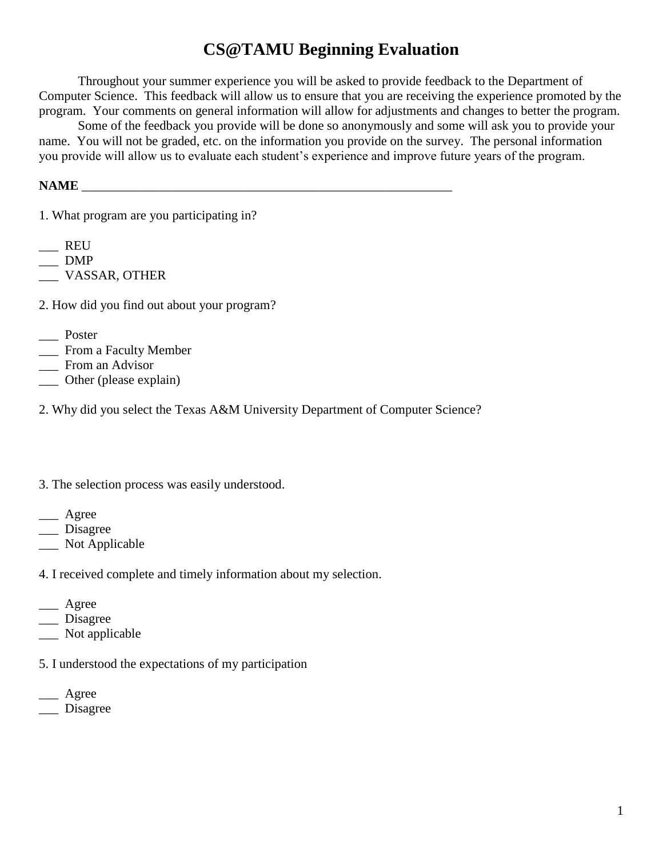## **CS@TAMU Beginning Evaluation**

Throughout your summer experience you will be asked to provide feedback to the Department of Computer Science. This feedback will allow us to ensure that you are receiving the experience promoted by the program. Your comments on general information will allow for adjustments and changes to better the program.

Some of the feedback you provide will be done so anonymously and some will ask you to provide your name. You will not be graded, etc. on the information you provide on the survey. The personal information you provide will allow us to evaluate each student's experience and improve future years of the program.

## **NAME** \_\_\_\_\_\_\_\_\_\_\_\_\_\_\_\_\_\_\_\_\_\_\_\_\_\_\_\_\_\_\_\_\_\_\_\_\_\_\_\_\_\_\_\_\_\_\_\_\_\_\_\_\_\_\_\_\_

1. What program are you participating in?

- $\qquad \qquad$  REU
- $\equiv$  DMP

\_\_\_ VASSAR, OTHER

2. How did you find out about your program?

- \_\_\_ Poster
- \_\_\_ From a Faculty Member
- \_\_\_ From an Advisor
- \_\_\_ Other (please explain)

2. Why did you select the Texas A&M University Department of Computer Science?

- 3. The selection process was easily understood.
- \_\_\_ Agree
- \_\_\_ Disagree
- Not Applicable

4. I received complete and timely information about my selection.

- \_\_\_ Agree
- \_\_\_ Disagree
- \_\_\_ Not applicable
- 5. I understood the expectations of my participation
- \_\_\_ Agree \_\_\_ Disagree